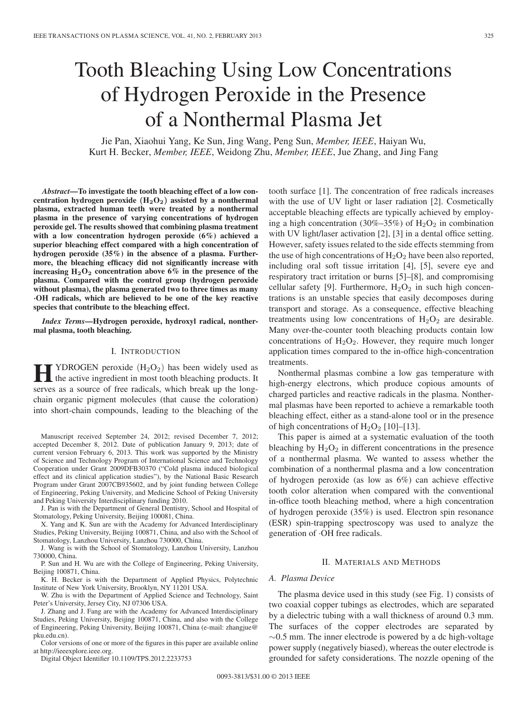# Tooth Bleaching Using Low Concentrations of Hydrogen Peroxide in the Presence of a Nonthermal Plasma Jet

Jie Pan, Xiaohui Yang, Ke Sun, Jing Wang, Peng Sun, *Member, IEEE*, Haiyan Wu, Kurt H. Becker, *Member, IEEE*, Weidong Zhu, *Member, IEEE*, Jue Zhang, and Jing Fang

*Abstract***—To investigate the tooth bleaching effect of a low concentration hydrogen peroxide (H2O2) assisted by a nonthermal plasma, extracted human teeth were treated by a nonthermal plasma in the presence of varying concentrations of hydrogen peroxide gel. The results showed that combining plasma treatment with a low concentration hydrogen peroxide (6%) achieved a superior bleaching effect compared with a high concentration of hydrogen peroxide (35%) in the absence of a plasma. Furthermore, the bleaching efficacy did not significantly increase with** increasing  $H_2O_2$  concentration above 6% in the presence of the **plasma. Compared with the control group (hydrogen peroxide without plasma), the plasma generated two to three times as many** *·***OH radicals, which are believed to be one of the key reactive species that contribute to the bleaching effect.**

*Index Terms***—Hydrogen peroxide, hydroxyl radical, nonthermal plasma, tooth bleaching.**

### I. INTRODUCTION

**Hence** TYDROGEN peroxide  $(H_2O_2)$  has been widely used as<br>the active ingredient in most tooth bleaching products. It serves as a source of free radicals, which break up the longchain organic pigment molecules (that cause the coloration) into short-chain compounds, leading to the bleaching of the

Manuscript received September 24, 2012; revised December 7, 2012; accepted December 8, 2012. Date of publication January 9, 2013; date of current version February 6, 2013. This work was supported by the Ministry of Science and Technology Program of International Science and Technology Cooperation under Grant 2009DFB30370 ("Cold plasma induced biological effect and its clinical application studies"), by the National Basic Research Program under Grant 2007CB935602, and by joint funding between College of Engineering, Peking University, and Medicine School of Peking University and Peking University Interdisciplinary funding 2010.

J. Pan is with the Department of General Dentistry, School and Hospital of Stomatology, Peking University, Beijing 100081, China.

X. Yang and K. Sun are with the Academy for Advanced Interdisciplinary Studies, Peking University, Beijing 100871, China, and also with the School of Stomatology, Lanzhou University, Lanzhou 730000, China.

J. Wang is with the School of Stomatology, Lanzhou University, Lanzhou 730000, China.

P. Sun and H. Wu are with the College of Engineering, Peking University, Beijing 100871, China.

K. H. Becker is with the Department of Applied Physics, Polytechnic Institute of New York University, Brooklyn, NY 11201 USA.

W. Zhu is with the Department of Applied Science and Technology, Saint Peter's University, Jersey City, NJ 07306 USA.

J. Zhang and J. Fang are with the Academy for Advanced Interdisciplinary Studies, Peking University, Beijing 100871, China, and also with the College of Engineering, Peking University, Beijing 100871, China (e-mail: zhangjue@ pku.edu.cn).

Color versions of one or more of the figures in this paper are available online at http://ieeexplore.ieee.org.

Digital Object Identifier 10.1109/TPS.2012.2233753

tooth surface [1]. The concentration of free radicals increases with the use of UV light or laser radiation [2]. Cosmetically acceptable bleaching effects are typically achieved by employing a high concentration (30%–35%) of  $H_2O_2$  in combination with UV light/laser activation [2], [3] in a dental office setting. However, safety issues related to the side effects stemming from the use of high concentrations of  $H_2O_2$  have been also reported, including oral soft tissue irritation [4], [5], severe eye and respiratory tract irritation or burns [5]–[8], and compromising cellular safety [9]. Furthermore,  $H_2O_2$  in such high concentrations is an unstable species that easily decomposes during transport and storage. As a consequence, effective bleaching treatments using low concentrations of  $H_2O_2$  are desirable. Many over-the-counter tooth bleaching products contain low concentrations of  $H_2O_2$ . However, they require much longer application times compared to the in-office high-concentration treatments.

Nonthermal plasmas combine a low gas temperature with high-energy electrons, which produce copious amounts of charged particles and reactive radicals in the plasma. Nonthermal plasmas have been reported to achieve a remarkable tooth bleaching effect, either as a stand-alone tool or in the presence of high concentrations of  $H_2O_2$  [10]–[13].

This paper is aimed at a systematic evaluation of the tooth bleaching by  $H_2O_2$  in different concentrations in the presence of a nonthermal plasma. We wanted to assess whether the combination of a nonthermal plasma and a low concentration of hydrogen peroxide (as low as 6%) can achieve effective tooth color alteration when compared with the conventional in-office tooth bleaching method, where a high concentration of hydrogen peroxide (35%) is used. Electron spin resonance (ESR) spin-trapping spectroscopy was used to analyze the generation of ·OH free radicals.

### II. MATERIALS AND METHODS

## *A. Plasma Device*

The plasma device used in this study (see Fig. 1) consists of two coaxial copper tubings as electrodes, which are separated by a dielectric tubing with a wall thickness of around 0.3 mm. The surfaces of the copper electrodes are separated by  $\sim$ 0.5 mm. The inner electrode is powered by a dc high-voltage power supply (negatively biased), whereas the outer electrode is grounded for safety considerations. The nozzle opening of the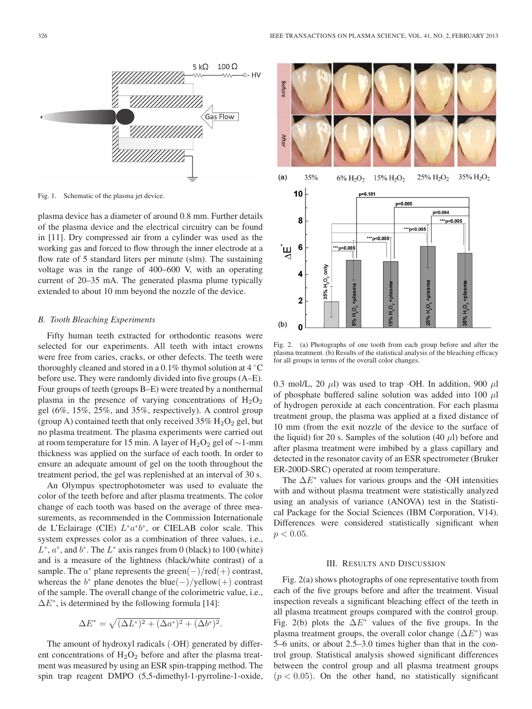

Fig. 1. Schematic of the plasma jet device.

plasma device has a diameter of around 0.8 mm. Further details of the plasma device and the electrical circuitry can be found in [11]. Dry compressed air from a cylinder was used as the working gas and forced to flow through the inner electrode at a flow rate of 5 standard liters per minute (slm). The sustaining voltage was in the range of 400–600 V, with an operating current of 20–35 mA. The generated plasma plume typically extended to about 10 mm beyond the nozzle of the device.

## *B. Tooth Bleaching Experiments*

Fifty human teeth extracted for orthodontic reasons were selected for our experiments. All teeth with intact crowns were free from caries, cracks, or other defects. The teeth were thoroughly cleaned and stored in a  $0.1\%$  thymol solution at  $4\degree$ C before use. They were randomly divided into five groups (A–E). Four groups of teeth (groups B–E) were treated by a nonthermal plasma in the presence of varying concentrations of  $H_2O_2$ gel (6%, 15%, 25%, and 35%, respectively). A control group (group A) contained teeth that only received  $35\%$  H<sub>2</sub>O<sub>2</sub> gel, but no plasma treatment. The plasma experiments were carried out at room temperature for 15 min. A layer of H<sub>2</sub>O<sub>2</sub> gel of ~1-mm thickness was applied on the surface of each tooth. In order to ensure an adequate amount of gel on the tooth throughout the treatment period, the gel was replenished at an interval of 30 s.

An Olympus spectrophotometer was used to evaluate the color of the teeth before and after plasma treatments. The color change of each tooth was based on the average of three measurements, as recommended in the Commission Internationale de L'Eclairage (CIE) L∗a∗b∗, or CIELAB color scale. This system expresses color as a combination of three values, i.e.,  $L^*$ ,  $a^*$ , and  $b^*$ . The  $L^*$  axis ranges from 0 (black) to 100 (white) and is a measure of the lightness (black/white contrast) of a sample. The  $a^*$  plane represents the green(−)/red(+) contrast, whereas the  $b^*$  plane denotes the blue(−)/yellow(+) contrast of the sample. The overall change of the colorimetric value, i.e.,  $\Delta E^*$ , is determined by the following formula [14]:

$$
\Delta E^* = \sqrt{(\Delta L^*)^2 + (\Delta a^*)^2 + (\Delta b^*)^2}.
$$

The amount of hydroxyl radicals  $(\cdot OH)$  generated by different concentrations of  $H_2O_2$  before and after the plasma treatment was measured by using an ESR spin-trapping method. The spin trap reagent DMPO (5,5-dimethyl-1-pyrroline-1-oxide,



Fig. 2. (a) Photographs of one tooth from each group before and after the plasma treatment. (b) Results of the statistical analysis of the bleaching efficacy for all groups in terms of the overall color changes.

0.3 mol/L, 20  $\mu$ l) was used to trap ·OH. In addition, 900  $\mu$ l of phosphate buffered saline solution was added into 100  $\mu$ l of hydrogen peroxide at each concentration. For each plasma treatment group, the plasma was applied at a fixed distance of 10 mm (from the exit nozzle of the device to the surface of the liquid) for 20 s. Samples of the solution  $(40 \mu l)$  before and after plasma treatment were imbibed by a glass capillary and detected in the resonator cavity of an ESR spectrometer (Bruker ER-200D-SRC) operated at room temperature.

The  $\Delta E^*$  values for various groups and the  $\cdot$ OH intensities with and without plasma treatment were statistically analyzed using an analysis of variance (ANOVA) test in the Statistical Package for the Social Sciences (IBM Corporation, V14). Differences were considered statistically significant when  $p < 0.05$ .

### III. RESULTS AND DISCUSSION

Fig. 2(a) shows photographs of one representative tooth from each of the five groups before and after the treatment. Visual inspection reveals a significant bleaching effect of the teeth in all plasma treatment groups compared with the control group. Fig. 2(b) plots the  $\Delta E^*$  values of the five groups. In the plasma treatment groups, the overall color change  $(\Delta E^*)$  was 5–6 units, or about 2.5–3.0 times higher than that in the control group. Statistical analysis showed significant differences between the control group and all plasma treatment groups  $(p < 0.05)$ . On the other hand, no statistically significant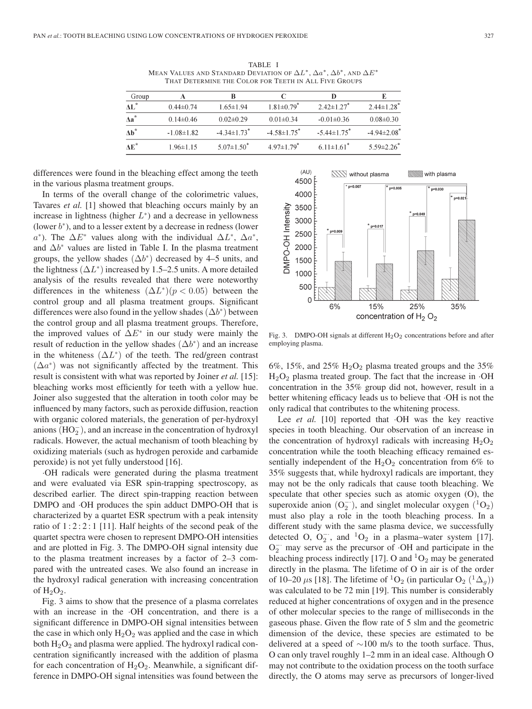TABLE I MEAN VALUES AND STANDARD DEVIATION OF  $\Delta L^*$ ,  $\Delta a^*$ ,  $\Delta b^*$ , and  $\Delta E^*$ THAT DETERMINE THE COLOR FOR TEETH IN ALL FIVE GROUPS

| Group        |                  |                               |                               |                               |                              |
|--------------|------------------|-------------------------------|-------------------------------|-------------------------------|------------------------------|
| AL*          | $0.44\pm 0.74$   | 165±194                       | $1.81 \pm 0.79$ <sup>*</sup>  | $2.42 \pm 1.27$ *             | $2.44 \pm 1.28$ <sup>*</sup> |
| $\Delta a^*$ | $0.14\pm0.46$    | $0.02\pm0.29$                 | $0.01 \pm 0.34$               | $-0.01\pm0.36$                | $0.08 \pm 0.30$              |
| $Ab^*$       | $-1.08 \pm 1.82$ | $-4.34 \pm 1.73$ <sup>*</sup> | $-4.58 \pm 1.75$ <sup>*</sup> | $-5.44 \pm 1.75$ <sup>*</sup> | $-4.94\pm2.08$ <sup>*</sup>  |
| AF*          | $1.96 \pm 1.15$  | $5.07\pm1.50^*$               | $4.97 \pm 1.79$ <sup>*</sup>  | $6.11 \pm 1.61$ <sup>*</sup>  | $5.59 \pm 2.26$              |

differences were found in the bleaching effect among the teeth in the various plasma treatment groups.

In terms of the overall change of the colorimetric values, Tavares *et al.* [1] showed that bleaching occurs mainly by an increase in lightness (higher  $L^*$ ) and a decrease in yellowness (lower  $b^*$ ), and to a lesser extent by a decrease in redness (lower  $a^*$ ). The  $\Delta E^*$  values along with the individual  $\Delta L^*$ ,  $\Delta a^*$ , and  $\Delta b^*$  values are listed in Table I. In the plasma treatment groups, the yellow shades  $(\Delta b^*)$  decreased by 4–5 units, and the lightness  $(\Delta L^*)$  increased by 1.5–2.5 units. A more detailed analysis of the results revealed that there were noteworthy differences in the whiteness  $(\Delta L^*)(p < 0.05)$  between the control group and all plasma treatment groups. Significant differences were also found in the yellow shades  $(\Delta b^*)$  between the control group and all plasma treatment groups. Therefore, the improved values of  $\Delta E^*$  in our study were mainly the result of reduction in the yellow shades  $(\Delta b^*)$  and an increase in the whiteness  $(\Delta L^*)$  of the teeth. The red/green contrast  $(\Delta a^*)$  was not significantly affected by the treatment. This result is consistent with what was reported by Joiner *et al.* [15]: bleaching works most efficiently for teeth with a yellow hue. Joiner also suggested that the alteration in tooth color may be influenced by many factors, such as peroxide diffusion, reaction with organic colored materials, the generation of per-hydroxyl anions  $(HO_2^-)$ , and an increase in the concentration of hydroxyl radicals. However, the actual mechanism of tooth bleaching by oxidizing materials (such as hydrogen peroxide and carbamide peroxide) is not yet fully understood [16].

·OH radicals were generated during the plasma treatment and were evaluated via ESR spin-trapping spectroscopy, as described earlier. The direct spin-trapping reaction between DMPO and  $\cdot$ OH produces the spin adduct DMPO-OH that is characterized by a quartet ESR spectrum with a peak intensity ratio of  $1:2:2:1$  [11]. Half heights of the second peak of the quartet spectra were chosen to represent DMPO-OH intensities and are plotted in Fig. 3. The DMPO-OH signal intensity due to the plasma treatment increases by a factor of 2–3 compared with the untreated cases. We also found an increase in the hydroxyl radical generation with increasing concentration of  $H_2O_2$ .

Fig. 3 aims to show that the presence of a plasma correlates with an increase in the ·OH concentration, and there is a significant difference in DMPO-OH signal intensities between the case in which only  $H_2O_2$  was applied and the case in which both  $H_2O_2$  and plasma were applied. The hydroxyl radical concentration significantly increased with the addition of plasma for each concentration of  $H_2O_2$ . Meanwhile, a significant difference in DMPO-OH signal intensities was found between the



Fig. 3. DMPO-OH signals at different  $H_2O_2$  concentrations before and after employing plasma.

6%, 15%, and 25%  $H_2O_2$  plasma treated groups and the 35%  $H<sub>2</sub>O<sub>2</sub>$  plasma treated group. The fact that the increase in  $\cdot$ OH concentration in the 35% group did not, however, result in a better whitening efficacy leads us to believe that ·OH is not the only radical that contributes to the whitening process.

Lee *et al.* [10] reported that OH was the key reactive species in tooth bleaching. Our observation of an increase in the concentration of hydroxyl radicals with increasing  $H_2O_2$ concentration while the tooth bleaching efficacy remained essentially independent of the  $H_2O_2$  concentration from 6% to 35% suggests that, while hydroxyl radicals are important, they may not be the only radicals that cause tooth bleaching. We speculate that other species such as atomic oxygen (O), the superoxide anion  $(O_2^-)$ , and singlet molecular oxygen  $(^1O_2)$ must also play a role in the tooth bleaching process. In a different study with the same plasma device, we successfully detected O,  $O_2^-$ , and  ${}^{1}O_2$  in a plasma–water system [17].  $O_2^-$  may serve as the precursor of  $\cdot$ OH and participate in the bleaching process indirectly [17]. O and  ${}^{1}O_{2}$  may be generated directly in the plasma. The lifetime of O in air is of the order of 10–20  $\mu$ s [18]. The lifetime of <sup>1</sup>O<sub>2</sub> (in particular O<sub>2</sub> (<sup>1</sup> $\Delta_q$ )) was calculated to be 72 min [19]. This number is considerably reduced at higher concentrations of oxygen and in the presence of other molecular species to the range of milliseconds in the gaseous phase. Given the flow rate of 5 slm and the geometric dimension of the device, these species are estimated to be delivered at a speed of ∼100 m/s to the tooth surface. Thus, O can only travel roughly 1–2 mm in an ideal case. Although O may not contribute to the oxidation process on the tooth surface directly, the O atoms may serve as precursors of longer-lived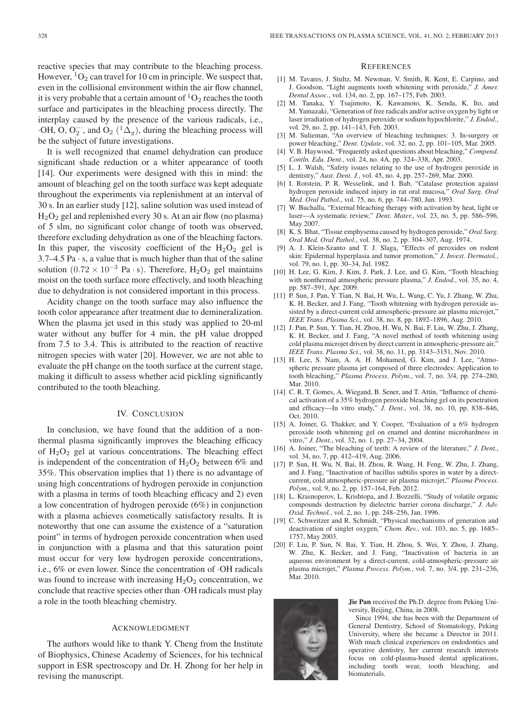reactive species that may contribute to the bleaching process. However,  ${}^{1}O_{2}$  can travel for 10 cm in principle. We suspect that, even in the collisional environment within the air flow channel, it is very probable that a certain amount of  ${}^{1}O_{2}$  reaches the tooth surface and participates in the bleaching process directly. The interplay caused by the presence of the various radicals, i.e.,  $\cdot$ OH, O, O<sub>2</sub><sup>-</sup>, and O<sub>2</sub> (<sup>1</sup>∆<sub>g</sub>), during the bleaching process will be the subject of future investigations.

It is well recognized that enamel dehydration can produce significant shade reduction or a whiter appearance of tooth [14]. Our experiments were designed with this in mind: the amount of bleaching gel on the tooth surface was kept adequate throughout the experiments via replenishment at an interval of 30 s. In an earlier study [12], saline solution was used instead of  $H<sub>2</sub>O<sub>2</sub>$  gel and replenished every 30 s. At an air flow (no plasma) of 5 slm, no significant color change of tooth was observed, therefore excluding dehydration as one of the bleaching factors. In this paper, the viscosity coefficient of the  $H_2O_2$  gel is 3.7–4.5 Pa $\cdot$  s, a value that is much higher than that of the saline solution  $(0.72 \times 10^{-3}$  Pa · s). Therefore, H<sub>2</sub>O<sub>2</sub> gel maintains moist on the tooth surface more effectively, and tooth bleaching due to dehydration is not considered important in this process.

Acidity change on the tooth surface may also influence the tooth color appearance after treatment due to demineralization. When the plasma jet used in this study was applied to 20-ml water without any buffer for 4 min, the pH value dropped from 7.5 to 3.4. This is attributed to the reaction of reactive nitrogen species with water [20]. However, we are not able to evaluate the pH change on the tooth surface at the current stage, making it difficult to assess whether acid pickling significantly contributed to the tooth bleaching.

# IV. CONCLUSION

In conclusion, we have found that the addition of a nonthermal plasma significantly improves the bleaching efficacy of  $H_2O_2$  gel at various concentrations. The bleaching effect is independent of the concentration of  $H_2O_2$  between 6% and 35%. This observation implies that 1) there is no advantage of using high concentrations of hydrogen peroxide in conjunction with a plasma in terms of tooth bleaching efficacy and 2) even a low concentration of hydrogen peroxide (6%) in conjunction with a plasma achieves cosmetically satisfactory results. It is noteworthy that one can assume the existence of a "saturation point" in terms of hydrogen peroxide concentration when used in conjunction with a plasma and that this saturation point must occur for very low hydrogen peroxide concentrations, i.e., 6% or even lower. Since the concentration of ·OH radicals was found to increase with increasing  $H_2O_2$  concentration, we conclude that reactive species other than ·OH radicals must play a role in the tooth bleaching chemistry.

## ACKNOWLEDGMENT

The authors would like to thank Y. Cheng from the Institute of Biophysics, Chinese Academy of Sciences, for his technical support in ESR spectroscopy and Dr. H. Zhong for her help in revising the manuscript.

## **REFERENCES**

- [1] M. Tavares, J. Stultz, M. Newman, V. Smith, R. Kent, E. Carpino, and J. Goodson, "Light augments tooth whitening with peroxide," *J. Amer. Dental Assoc.*, vol. 134, no. 2, pp. 167–175, Feb. 2003.
- [2] M. Tanaka, Y. Tsujimoto, K. Kawamoto, K. Senda, K. Ito, and M. Yamazaki, "Generation of free radicals and/or active oxygen by light or laser irradiation of hydrogen peroxide or sodium hypochlorite," *J. Endod.*, vol. 29, no. 2, pp. 141–143, Feb. 2003.
- [3] M. Sulieman, "An overview of bleaching techniques: 3. In-surgery or power bleaching," *Dent. Update*, vol. 32, no. 2, pp. 101–105, Mar. 2005.
- [4] V. B. Haywood, "Frequently asked questions about bleaching," *Compend. Contln. Edu. Dent.*, vol. 24, no. 4A, pp. 324–338, Apr. 2003.
- [5] L. J. Walsh, "Safety issues relating to the use of hydrogen peroxide in dentistry," *Aust. Dent. J.*, vol. 45, no. 4, pp. 257–269, Mar. 2000.
- [6] I. Rotstein, P. R. Wesselink, and I. Bab, "Catalase protection against hydrogen peroxide induced injury in rat oral mucosa," *Oral Surg. Oral Med. Oral Pathol.*, vol. 75, no. 6, pp. 744–780, Jun. 1993.
- [7] W. Buchalla, "External bleaching therapy with activation by heat, light or laser—A systematic review," *Dent. Mater.*, vol. 23, no. 5, pp. 586–596, May 2007.
- [8] K. S. Bhat, "Tissue emphysema caused by hydrogen peroxide," *Oral Surg. Oral Med. Oral Pathol.*, vol. 38, no. 2, pp. 304–307, Aug. 1974.
- [9] A. J. Klein-Szanto and T. J. Slaga, "Effects of peroxides on rodent skin: Epidermal hyperplasia and tumor promotion," *J. Invest. Dermatol.*, vol. 79, no. 1, pp. 30–34, Jul. 1982.
- [10] H. Lee, G. Kim, J. Kim, J. Park, J. Lee, and G. Kim, "Tooth bleaching with nonthermal atmospheric pressure plasma," *J. Endod.*, vol. 35, no. 4, pp. 587–591, Apr. 2009.
- [11] P. Sun, J. Pan, Y. Tian, N. Bai, H. Wu, L. Wang, C. Yu, J. Zhang, W. Zhu, K. H. Becker, and J. Fang, "Tooth whitening with hydrogen peroxide assisted by a direct-current cold atmospheric-pressure air plasma microjet," *IEEE Trans. Plasma Sci.*, vol. 38, no. 8, pp. 1892–1896, Aug. 2010.
- [12] J. Pan, P. Sun, Y. Tian, H. Zhou, H. Wu, N. Bai, F. Liu, W. Zhu, J. Zhang, K. H. Becker, and J. Fang, "A novel method of tooth whitening using cold plasma microjet driven by direct current in atmospheric-pressure air," *IEEE Trans. Plasma Sci.*, vol. 38, no. 11, pp. 3143–3151, Nov. 2010.
- [13] H. Lee, S. Nam, A. A. H. Mohamed, G. Kim, and J. Lee, "Atmospheric pressure plasma jet composed of three electrodes: Application to tooth bleaching," *Plasma Process. Polym.*, vol. 7, no. 3/4, pp. 274–280, Mar. 2010.
- [14] C. R. T. Gomes, A. Wiegand, B. Sener, and T. Attin, "Influence of chemical activation of a 35% hydrogen peroxide bleaching gel on its penetration and efficacy—In vitro study," *J. Dent.*, vol. 38, no. 10, pp. 838–846, Oct. 2010.
- [15] A. Joiner, G. Thakker, and Y. Cooper, "Evaluation of a 6% hydrogen peroxide tooth whitening gel on enamel and dentine microhardness in vitro," *J. Dent.*, vol. 32, no. 1, pp. 27–34, 2004.
- [16] A. Joiner, "The bleaching of teeth: A review of the literature," *J. Dent.*, vol. 34, no. 7, pp. 412–419, Aug. 2006.
- [17] P. Sun, H. Wu, N. Bai, H. Zhou, R. Wang, H. Feng, W. Zhu, J. Zhang, and J. Fang, "Inactivation of bacillus subtilis spores in water by a directcurrent, cold atmospheric-pressure air plasma microjet," *Plasma Process. Polym.*, vol. 9, no. 2, pp. 157–164, Feb. 2012.
- [18] L. Krasnoperov, L. Krishtopa, and J. Bozzelli, "Study of volatile organic compounds destruction by dielectric barrier corona discharge," *J. Adv. Oxid. Technol.*, vol. 2, no. 1, pp. 248–256, Jan. 1996.
- [19] C. Schweitzer and R. Schmidt, "Physical mechanisms of generation and deactivation of singlet oxygen," *Chem. Rev.*, vol. 103, no. 5, pp. 1685– 1757, May 2003.
- [20] F. Liu, P. Sun, N. Bai, Y. Tian, H. Zhou, S. Wei, Y. Zhou, J. Zhang, W. Zhu, K. Becker, and J. Fang, "Inactivation of bacteria in an aqueous environment by a direct-current, cold-atmospheric-pressure air plasma microjet," *Plasma Process. Polym.*, vol. 7, no. 3/4, pp. 231–236, Mar. 2010.



**Jie Pan** received the Ph.D. degree from Peking University, Beijing, China, in 2008.

Since 1994, she has been with the Department of General Dentistry, School of Stomatology, Peking University, where she became a Director in 2011. With much clinical experiences on endodontics and operative dentistry, her current research interests focus on cold-plasma-based dental applications, including tooth wear, tooth bleaching, and biomaterials.